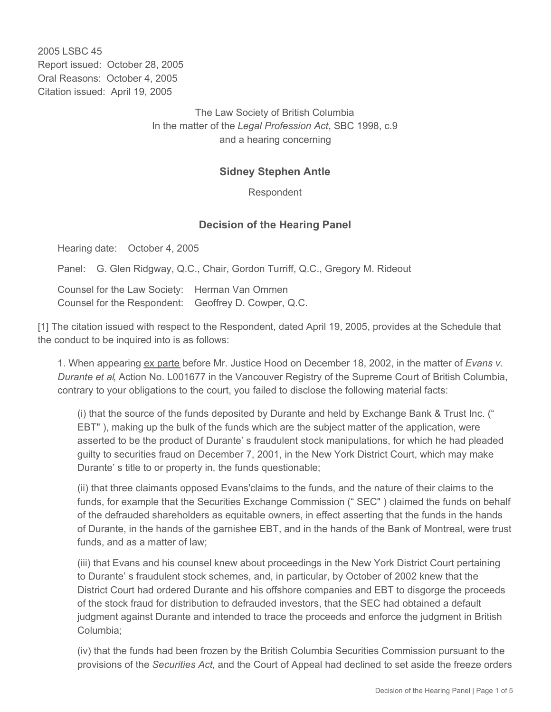2005 LSBC 45 Report issued: October 28, 2005 Oral Reasons: October 4, 2005 Citation issued: April 19, 2005

> The Law Society of British Columbia In the matter of the *Legal Profession Act*, SBC 1998, c.9 and a hearing concerning

## **Sidney Stephen Antle**

Respondent

## **Decision of the Hearing Panel**

Hearing date: October 4, 2005

Panel: G. Glen Ridgway, Q.C., Chair, Gordon Turriff, Q.C., Gregory M. Rideout

Counsel for the Law Society: Herman Van Ommen Counsel for the Respondent: Geoffrey D. Cowper, Q.C.

[1] The citation issued with respect to the Respondent, dated April 19, 2005, provides at the Schedule that the conduct to be inquired into is as follows:

1. When appearing ex parte before Mr. Justice Hood on December 18, 2002, in the matter of *Evans v. Durante et al*, Action No. L001677 in the Vancouver Registry of the Supreme Court of British Columbia, contrary to your obligations to the court, you failed to disclose the following material facts:

(i) that the source of the funds deposited by Durante and held by Exchange Bank & Trust Inc. (" EBT" ), making up the bulk of the funds which are the subject matter of the application, were asserted to be the product of Durante' s fraudulent stock manipulations, for which he had pleaded guilty to securities fraud on December 7, 2001, in the New York District Court, which may make Durante' s title to or property in, the funds questionable;

(ii) that three claimants opposed Evans'claims to the funds, and the nature of their claims to the funds, for example that the Securities Exchange Commission (" SEC" ) claimed the funds on behalf of the defrauded shareholders as equitable owners, in effect asserting that the funds in the hands of Durante, in the hands of the garnishee EBT, and in the hands of the Bank of Montreal, were trust funds, and as a matter of law;

(iii) that Evans and his counsel knew about proceedings in the New York District Court pertaining to Durante' s fraudulent stock schemes, and, in particular, by October of 2002 knew that the District Court had ordered Durante and his offshore companies and EBT to disgorge the proceeds of the stock fraud for distribution to defrauded investors, that the SEC had obtained a default judgment against Durante and intended to trace the proceeds and enforce the judgment in British Columbia;

(iv) that the funds had been frozen by the British Columbia Securities Commission pursuant to the provisions of the *Securities Act*, and the Court of Appeal had declined to set aside the freeze orders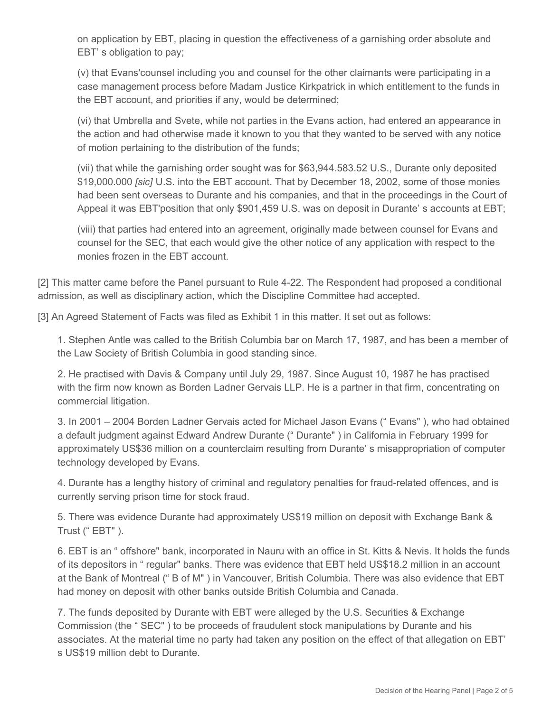on application by EBT, placing in question the effectiveness of a garnishing order absolute and EBT' s obligation to pay;

(v) that Evans'counsel including you and counsel for the other claimants were participating in a case management process before Madam Justice Kirkpatrick in which entitlement to the funds in the EBT account, and priorities if any, would be determined;

(vi) that Umbrella and Svete, while not parties in the Evans action, had entered an appearance in the action and had otherwise made it known to you that they wanted to be served with any notice of motion pertaining to the distribution of the funds;

(vii) that while the garnishing order sought was for \$63,944.583.52 U.S., Durante only deposited \$19,000.000 *[sic]* U.S. into the EBT account. That by December 18, 2002, some of those monies had been sent overseas to Durante and his companies, and that in the proceedings in the Court of Appeal it was EBT'position that only \$901,459 U.S. was on deposit in Durante' s accounts at EBT;

(viii) that parties had entered into an agreement, originally made between counsel for Evans and counsel for the SEC, that each would give the other notice of any application with respect to the monies frozen in the EBT account.

[2] This matter came before the Panel pursuant to Rule 4-22. The Respondent had proposed a conditional admission, as well as disciplinary action, which the Discipline Committee had accepted.

[3] An Agreed Statement of Facts was filed as Exhibit 1 in this matter. It set out as follows:

1. Stephen Antle was called to the British Columbia bar on March 17, 1987, and has been a member of the Law Society of British Columbia in good standing since.

2. He practised with Davis & Company until July 29, 1987. Since August 10, 1987 he has practised with the firm now known as Borden Ladner Gervais LLP. He is a partner in that firm, concentrating on commercial litigation.

3. In 2001 – 2004 Borden Ladner Gervais acted for Michael Jason Evans (" Evans" ), who had obtained a default judgment against Edward Andrew Durante (" Durante" ) in California in February 1999 for approximately US\$36 million on a counterclaim resulting from Durante' s misappropriation of computer technology developed by Evans.

4. Durante has a lengthy history of criminal and regulatory penalties for fraud-related offences, and is currently serving prison time for stock fraud.

5. There was evidence Durante had approximately US\$19 million on deposit with Exchange Bank & Trust ("EBT").

6. EBT is an " offshore" bank, incorporated in Nauru with an office in St. Kitts & Nevis. It holds the funds of its depositors in " regular" banks. There was evidence that EBT held US\$18.2 million in an account at the Bank of Montreal (" B of M" ) in Vancouver, British Columbia. There was also evidence that EBT had money on deposit with other banks outside British Columbia and Canada.

7. The funds deposited by Durante with EBT were alleged by the U.S. Securities & Exchange Commission (the " SEC" ) to be proceeds of fraudulent stock manipulations by Durante and his associates. At the material time no party had taken any position on the effect of that allegation on EBT' s US\$19 million debt to Durante.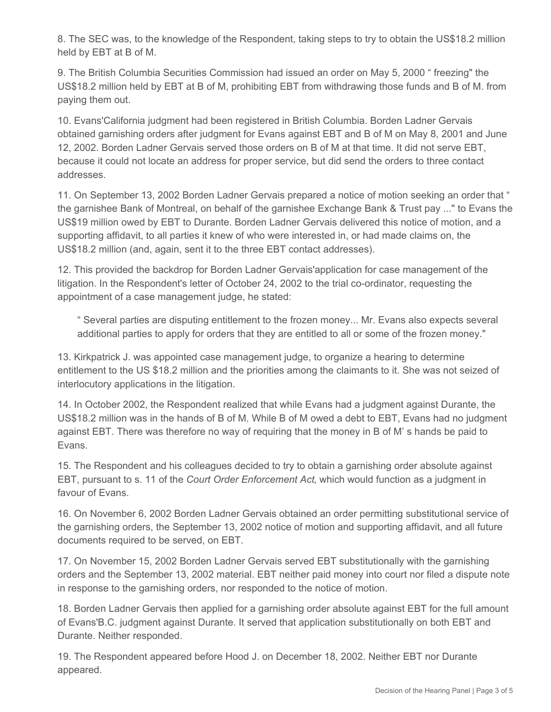8. The SEC was, to the knowledge of the Respondent, taking steps to try to obtain the US\$18.2 million held by EBT at B of M.

9. The British Columbia Securities Commission had issued an order on May 5, 2000 " freezing" the US\$18.2 million held by EBT at B of M, prohibiting EBT from withdrawing those funds and B of M. from paying them out.

10. Evans'California judgment had been registered in British Columbia. Borden Ladner Gervais obtained garnishing orders after judgment for Evans against EBT and B of M on May 8, 2001 and June 12, 2002. Borden Ladner Gervais served those orders on B of M at that time. It did not serve EBT, because it could not locate an address for proper service, but did send the orders to three contact addresses.

11. On September 13, 2002 Borden Ladner Gervais prepared a notice of motion seeking an order that " the garnishee Bank of Montreal, on behalf of the garnishee Exchange Bank & Trust pay ..." to Evans the US\$19 million owed by EBT to Durante. Borden Ladner Gervais delivered this notice of motion, and a supporting affidavit, to all parties it knew of who were interested in, or had made claims on, the US\$18.2 million (and, again, sent it to the three EBT contact addresses).

12. This provided the backdrop for Borden Ladner Gervais'application for case management of the litigation. In the Respondent's letter of October 24, 2002 to the trial co-ordinator, requesting the appointment of a case management judge, he stated:

" Several parties are disputing entitlement to the frozen money... Mr. Evans also expects several additional parties to apply for orders that they are entitled to all or some of the frozen money."

13. Kirkpatrick J. was appointed case management judge, to organize a hearing to determine entitlement to the US \$18.2 million and the priorities among the claimants to it. She was not seized of interlocutory applications in the litigation.

14. In October 2002, the Respondent realized that while Evans had a judgment against Durante, the US\$18.2 million was in the hands of B of M. While B of M owed a debt to EBT, Evans had no judgment against EBT. There was therefore no way of requiring that the money in B of M' s hands be paid to Evans.

15. The Respondent and his colleagues decided to try to obtain a garnishing order absolute against EBT, pursuant to s. 11 of the *Court Order Enforcement Act*, which would function as a judgment in favour of Evans.

16. On November 6, 2002 Borden Ladner Gervais obtained an order permitting substitutional service of the garnishing orders, the September 13, 2002 notice of motion and supporting affidavit, and all future documents required to be served, on EBT.

17. On November 15, 2002 Borden Ladner Gervais served EBT substitutionally with the garnishing orders and the September 13, 2002 material. EBT neither paid money into court nor filed a dispute note in response to the garnishing orders, nor responded to the notice of motion.

18. Borden Ladner Gervais then applied for a garnishing order absolute against EBT for the full amount of Evans'B.C. judgment against Durante. It served that application substitutionally on both EBT and Durante. Neither responded.

19. The Respondent appeared before Hood J. on December 18, 2002. Neither EBT nor Durante appeared.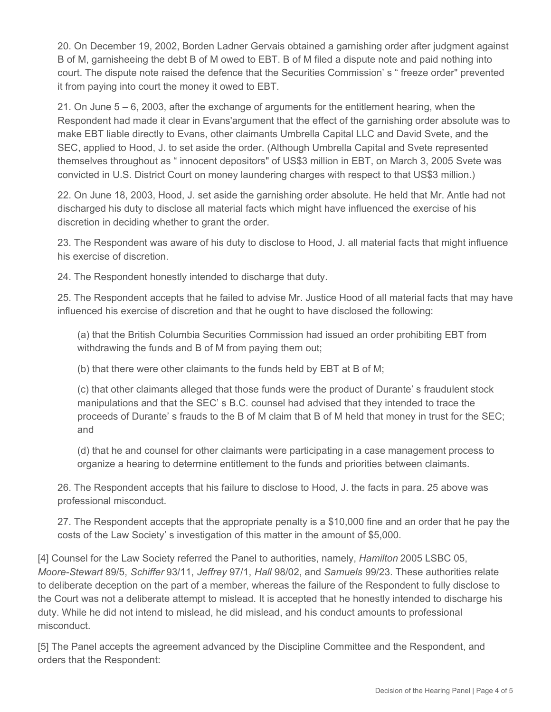20. On December 19, 2002, Borden Ladner Gervais obtained a garnishing order after judgment against B of M, garnisheeing the debt B of M owed to EBT. B of M filed a dispute note and paid nothing into court. The dispute note raised the defence that the Securities Commission' s " freeze order" prevented it from paying into court the money it owed to EBT.

21. On June 5 – 6, 2003, after the exchange of arguments for the entitlement hearing, when the Respondent had made it clear in Evans'argument that the effect of the garnishing order absolute was to make EBT liable directly to Evans, other claimants Umbrella Capital LLC and David Svete, and the SEC, applied to Hood, J. to set aside the order. (Although Umbrella Capital and Svete represented themselves throughout as " innocent depositors" of US\$3 million in EBT, on March 3, 2005 Svete was convicted in U.S. District Court on money laundering charges with respect to that US\$3 million.)

22. On June 18, 2003, Hood, J. set aside the garnishing order absolute. He held that Mr. Antle had not discharged his duty to disclose all material facts which might have influenced the exercise of his discretion in deciding whether to grant the order.

23. The Respondent was aware of his duty to disclose to Hood, J. all material facts that might influence his exercise of discretion.

24. The Respondent honestly intended to discharge that duty.

25. The Respondent accepts that he failed to advise Mr. Justice Hood of all material facts that may have influenced his exercise of discretion and that he ought to have disclosed the following:

(a) that the British Columbia Securities Commission had issued an order prohibiting EBT from withdrawing the funds and B of M from paying them out;

(b) that there were other claimants to the funds held by EBT at B of M;

(c) that other claimants alleged that those funds were the product of Durante' s fraudulent stock manipulations and that the SEC' s B.C. counsel had advised that they intended to trace the proceeds of Durante' s frauds to the B of M claim that B of M held that money in trust for the SEC; and

(d) that he and counsel for other claimants were participating in a case management process to organize a hearing to determine entitlement to the funds and priorities between claimants.

26. The Respondent accepts that his failure to disclose to Hood, J. the facts in para. 25 above was professional misconduct.

27. The Respondent accepts that the appropriate penalty is a \$10,000 fine and an order that he pay the costs of the Law Society' s investigation of this matter in the amount of \$5,000.

[4] Counsel for the Law Society referred the Panel to authorities, namely, *Hamilton* 2005 LSBC 05, *Moore-Stewart* 89/5, *Schiffer* 93/11, *Jeffrey* 97/1, *Hall* 98/02, and *Samuels* 99/23. These authorities relate to deliberate deception on the part of a member, whereas the failure of the Respondent to fully disclose to the Court was not a deliberate attempt to mislead. It is accepted that he honestly intended to discharge his duty. While he did not intend to mislead, he did mislead, and his conduct amounts to professional misconduct.

[5] The Panel accepts the agreement advanced by the Discipline Committee and the Respondent, and orders that the Respondent: